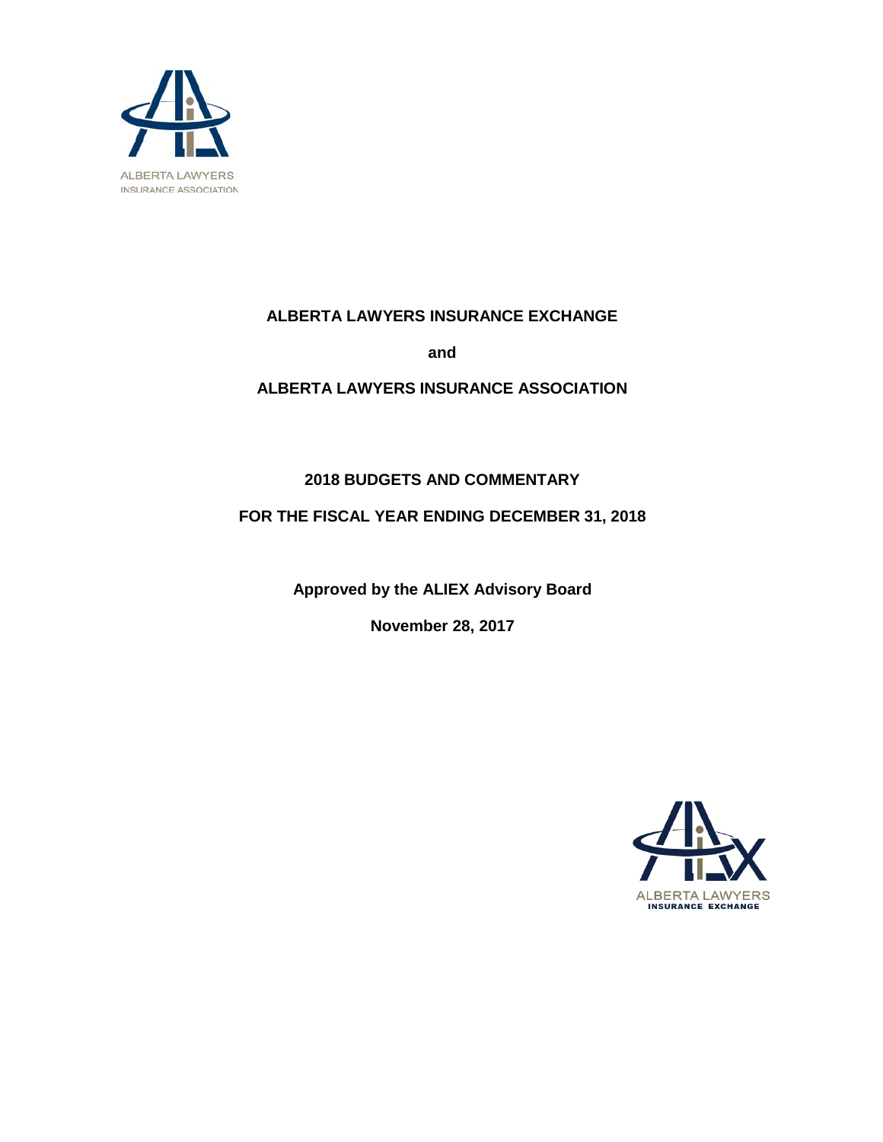

## **ALBERTA LAWYERS INSURANCE EXCHANGE**

**and**

## **ALBERTA LAWYERS INSURANCE ASSOCIATION**

## **2018 BUDGETS AND COMMENTARY**

## **FOR THE FISCAL YEAR ENDING DECEMBER 31, 2018**

**Approved by the ALIEX Advisory Board**

**November 28, 2017**

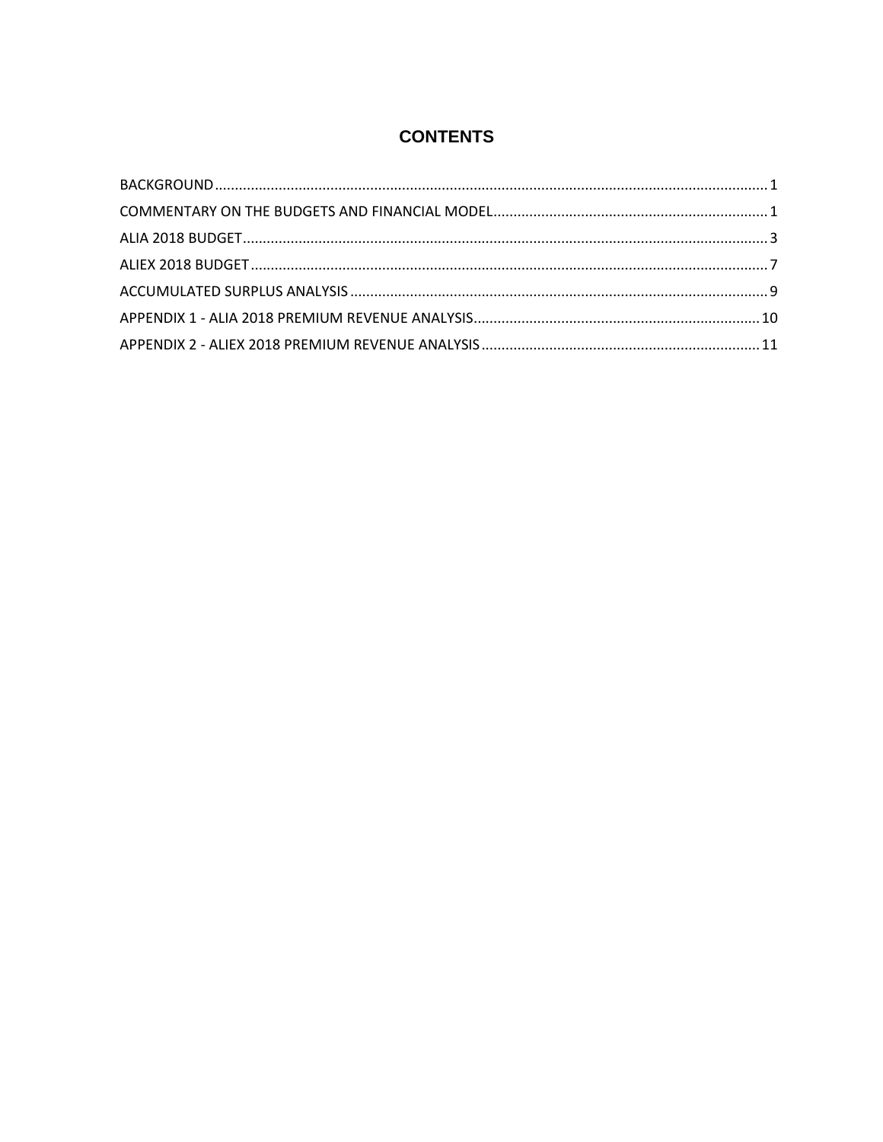# **CONTENTS**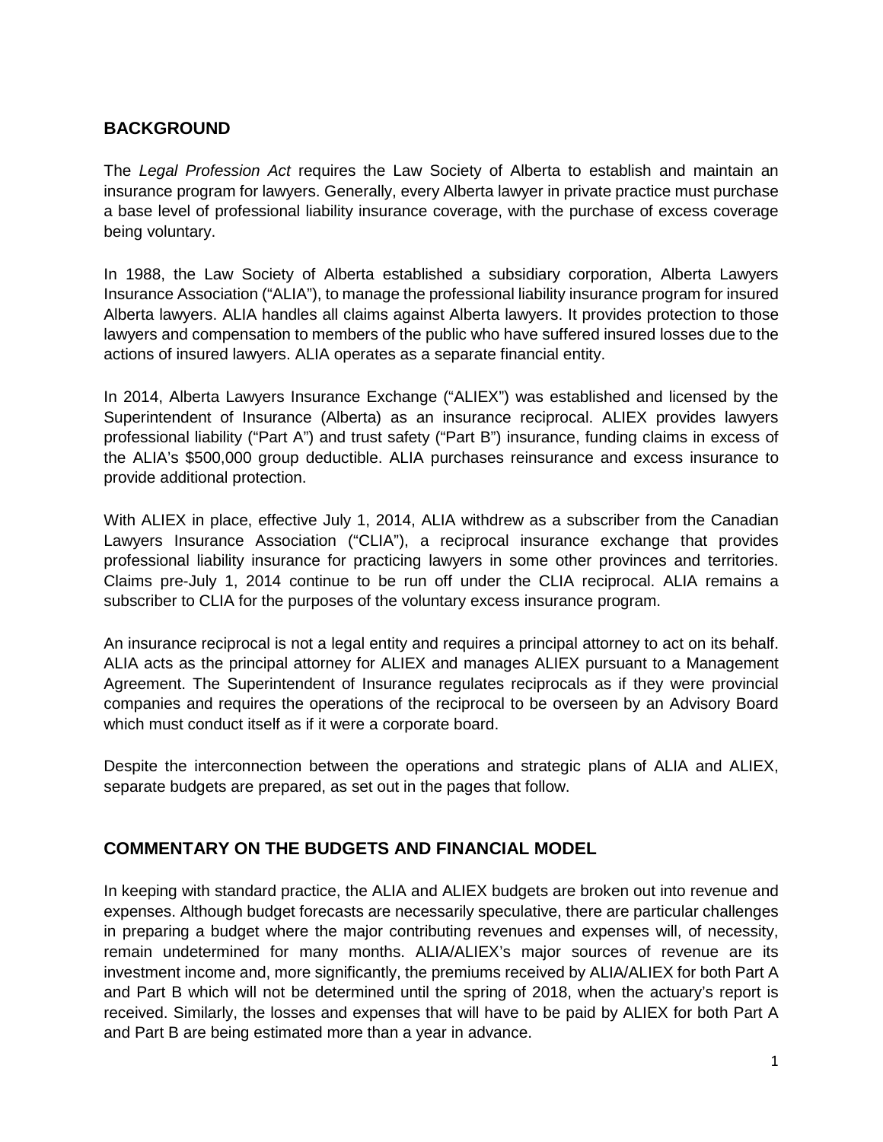## <span id="page-2-0"></span>**BACKGROUND**

The *Legal Profession Act* requires the Law Society of Alberta to establish and maintain an insurance program for lawyers. Generally, every Alberta lawyer in private practice must purchase a base level of professional liability insurance coverage, with the purchase of excess coverage being voluntary.

In 1988, the Law Society of Alberta established a subsidiary corporation, Alberta Lawyers Insurance Association ("ALIA"), to manage the professional liability insurance program for insured Alberta lawyers. ALIA handles all claims against Alberta lawyers. It provides protection to those lawyers and compensation to members of the public who have suffered insured losses due to the actions of insured lawyers. ALIA operates as a separate financial entity.

In 2014, Alberta Lawyers Insurance Exchange ("ALIEX") was established and licensed by the Superintendent of Insurance (Alberta) as an insurance reciprocal. ALIEX provides lawyers professional liability ("Part A") and trust safety ("Part B") insurance, funding claims in excess of the ALIA's \$500,000 group deductible. ALIA purchases reinsurance and excess insurance to provide additional protection.

With ALIEX in place, effective July 1, 2014, ALIA withdrew as a subscriber from the Canadian Lawyers Insurance Association ("CLIA"), a reciprocal insurance exchange that provides professional liability insurance for practicing lawyers in some other provinces and territories. Claims pre-July 1, 2014 continue to be run off under the CLIA reciprocal. ALIA remains a subscriber to CLIA for the purposes of the voluntary excess insurance program.

An insurance reciprocal is not a legal entity and requires a principal attorney to act on its behalf. ALIA acts as the principal attorney for ALIEX and manages ALIEX pursuant to a Management Agreement. The Superintendent of Insurance regulates reciprocals as if they were provincial companies and requires the operations of the reciprocal to be overseen by an Advisory Board which must conduct itself as if it were a corporate board.

Despite the interconnection between the operations and strategic plans of ALIA and ALIEX, separate budgets are prepared, as set out in the pages that follow.

## <span id="page-2-1"></span>**COMMENTARY ON THE BUDGETS AND FINANCIAL MODEL**

In keeping with standard practice, the ALIA and ALIEX budgets are broken out into revenue and expenses. Although budget forecasts are necessarily speculative, there are particular challenges in preparing a budget where the major contributing revenues and expenses will, of necessity, remain undetermined for many months. ALIA/ALIEX's major sources of revenue are its investment income and, more significantly, the premiums received by ALIA/ALIEX for both Part A and Part B which will not be determined until the spring of 2018, when the actuary's report is received. Similarly, the losses and expenses that will have to be paid by ALIEX for both Part A and Part B are being estimated more than a year in advance.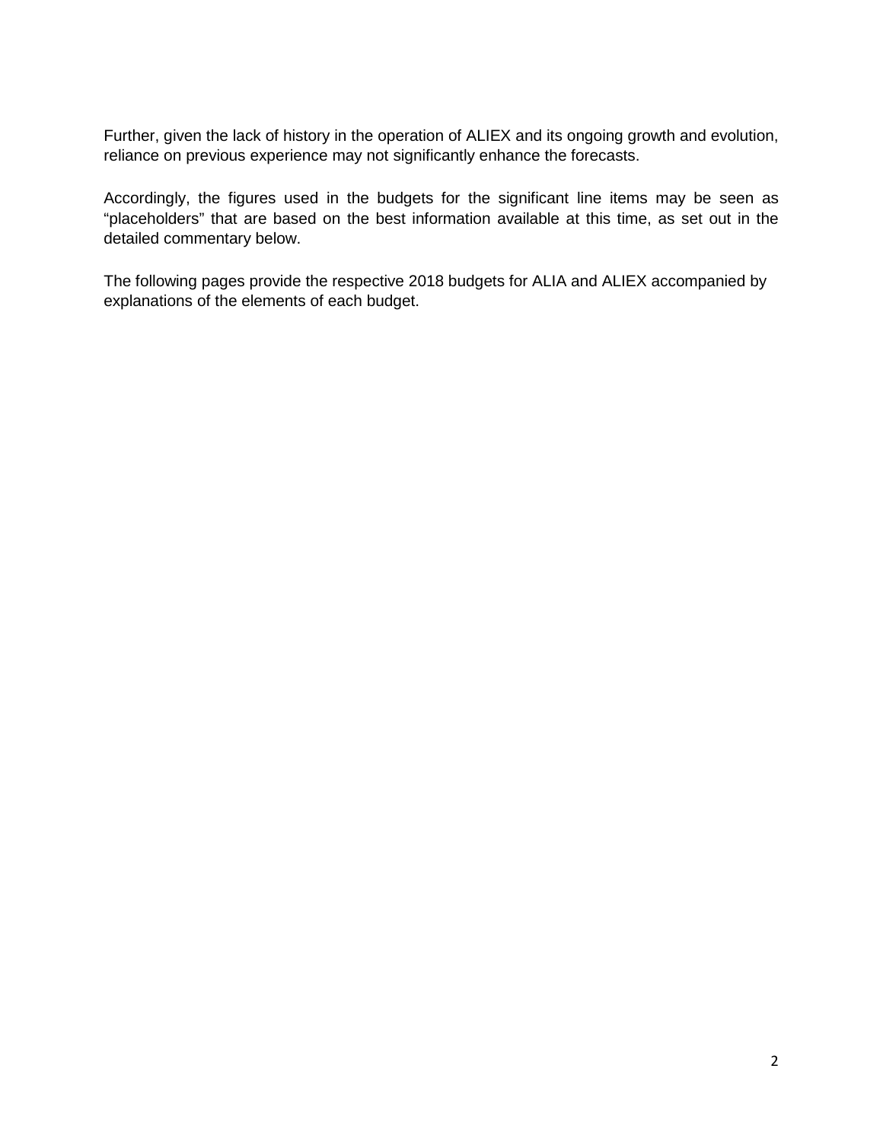Further, given the lack of history in the operation of ALIEX and its ongoing growth and evolution, reliance on previous experience may not significantly enhance the forecasts.

Accordingly, the figures used in the budgets for the significant line items may be seen as "placeholders" that are based on the best information available at this time, as set out in the detailed commentary below.

The following pages provide the respective 2018 budgets for ALIA and ALIEX accompanied by explanations of the elements of each budget.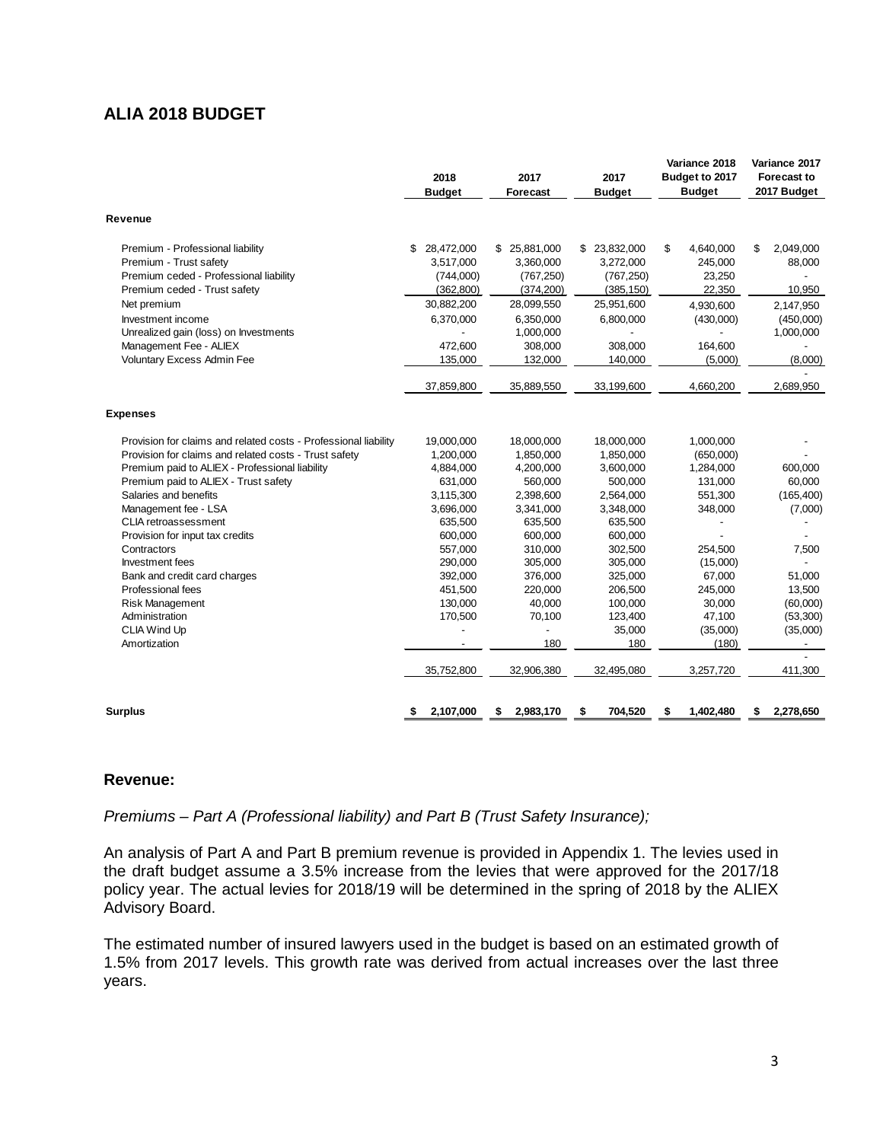## <span id="page-4-0"></span>**ALIA 2018 BUDGET**

| Revenue<br>28,472,000<br>Premium - Professional liability<br>\$<br>Premium - Trust safety<br>3,517,000<br>Premium ceded - Professional liability<br>(744,000)<br>Premium ceded - Trust safety<br>(362, 800)<br>30,882,200<br>Net premium<br>Investment income<br>6,370,000<br>Unrealized gain (loss) on Investments<br>Management Fee - ALIEX<br>472,600<br>Voluntary Excess Admin Fee<br>135,000<br>37,859,800<br><b>Expenses</b><br>Provision for claims and related costs - Professional liability<br>19,000,000<br>Provision for claims and related costs - Trust safety<br>1,200,000<br>Premium paid to ALIEX - Professional liability<br>4,884,000<br>Premium paid to ALIEX - Trust safety<br>631,000<br>Salaries and benefits<br>3,115,300<br>Management fee - LSA<br>3,696,000<br><b>CLIA</b> retroassessment<br>635,500<br>600,000<br>Provision for input tax credits<br>557,000<br>Contractors<br>Investment fees<br>290,000<br>Bank and credit card charges<br>392,000<br>Professional fees<br>451,500<br>130,000<br><b>Risk Management</b><br>Administration<br>170,500<br>CLIA Wind Up<br>Amortization | \$ 25,881,000<br>\$ 23,832,000<br>3,360,000<br>3,272,000<br>(767, 250)<br>(767, 250) |                 |                 |
|---------------------------------------------------------------------------------------------------------------------------------------------------------------------------------------------------------------------------------------------------------------------------------------------------------------------------------------------------------------------------------------------------------------------------------------------------------------------------------------------------------------------------------------------------------------------------------------------------------------------------------------------------------------------------------------------------------------------------------------------------------------------------------------------------------------------------------------------------------------------------------------------------------------------------------------------------------------------------------------------------------------------------------------------------------------------------------------------------------------------|--------------------------------------------------------------------------------------|-----------------|-----------------|
|                                                                                                                                                                                                                                                                                                                                                                                                                                                                                                                                                                                                                                                                                                                                                                                                                                                                                                                                                                                                                                                                                                                     |                                                                                      |                 |                 |
|                                                                                                                                                                                                                                                                                                                                                                                                                                                                                                                                                                                                                                                                                                                                                                                                                                                                                                                                                                                                                                                                                                                     |                                                                                      | \$<br>4,640,000 | \$<br>2,049,000 |
|                                                                                                                                                                                                                                                                                                                                                                                                                                                                                                                                                                                                                                                                                                                                                                                                                                                                                                                                                                                                                                                                                                                     |                                                                                      | 245,000         | 88,000          |
|                                                                                                                                                                                                                                                                                                                                                                                                                                                                                                                                                                                                                                                                                                                                                                                                                                                                                                                                                                                                                                                                                                                     |                                                                                      | 23,250          |                 |
|                                                                                                                                                                                                                                                                                                                                                                                                                                                                                                                                                                                                                                                                                                                                                                                                                                                                                                                                                                                                                                                                                                                     | (374, 200)<br>(385, 150)                                                             | 22,350          | 10,950          |
|                                                                                                                                                                                                                                                                                                                                                                                                                                                                                                                                                                                                                                                                                                                                                                                                                                                                                                                                                                                                                                                                                                                     | 25,951,600<br>28,099,550                                                             | 4,930,600       | 2,147,950       |
|                                                                                                                                                                                                                                                                                                                                                                                                                                                                                                                                                                                                                                                                                                                                                                                                                                                                                                                                                                                                                                                                                                                     | 6,350,000<br>6,800,000                                                               | (430,000)       | (450,000)       |
|                                                                                                                                                                                                                                                                                                                                                                                                                                                                                                                                                                                                                                                                                                                                                                                                                                                                                                                                                                                                                                                                                                                     | 1,000,000                                                                            |                 | 1,000,000       |
|                                                                                                                                                                                                                                                                                                                                                                                                                                                                                                                                                                                                                                                                                                                                                                                                                                                                                                                                                                                                                                                                                                                     | 308,000<br>308,000                                                                   | 164,600         |                 |
|                                                                                                                                                                                                                                                                                                                                                                                                                                                                                                                                                                                                                                                                                                                                                                                                                                                                                                                                                                                                                                                                                                                     | 132,000<br>140,000                                                                   | (5,000)         | (8,000)         |
|                                                                                                                                                                                                                                                                                                                                                                                                                                                                                                                                                                                                                                                                                                                                                                                                                                                                                                                                                                                                                                                                                                                     | 35,889,550<br>33,199,600                                                             | 4,660,200       | 2,689,950       |
|                                                                                                                                                                                                                                                                                                                                                                                                                                                                                                                                                                                                                                                                                                                                                                                                                                                                                                                                                                                                                                                                                                                     |                                                                                      |                 |                 |
|                                                                                                                                                                                                                                                                                                                                                                                                                                                                                                                                                                                                                                                                                                                                                                                                                                                                                                                                                                                                                                                                                                                     | 18,000,000<br>18,000,000                                                             | 1,000,000       |                 |
|                                                                                                                                                                                                                                                                                                                                                                                                                                                                                                                                                                                                                                                                                                                                                                                                                                                                                                                                                                                                                                                                                                                     | 1,850,000<br>1,850,000                                                               | (650,000)       |                 |
|                                                                                                                                                                                                                                                                                                                                                                                                                                                                                                                                                                                                                                                                                                                                                                                                                                                                                                                                                                                                                                                                                                                     | 4,200,000<br>3,600,000                                                               | 1,284,000       | 600,000         |
|                                                                                                                                                                                                                                                                                                                                                                                                                                                                                                                                                                                                                                                                                                                                                                                                                                                                                                                                                                                                                                                                                                                     | 500,000<br>560,000                                                                   | 131,000         | 60,000          |
|                                                                                                                                                                                                                                                                                                                                                                                                                                                                                                                                                                                                                                                                                                                                                                                                                                                                                                                                                                                                                                                                                                                     | 2,564,000<br>2,398,600                                                               | 551,300         | (165, 400)      |
|                                                                                                                                                                                                                                                                                                                                                                                                                                                                                                                                                                                                                                                                                                                                                                                                                                                                                                                                                                                                                                                                                                                     | 3,348,000<br>3,341,000                                                               | 348,000         | (7,000)         |
|                                                                                                                                                                                                                                                                                                                                                                                                                                                                                                                                                                                                                                                                                                                                                                                                                                                                                                                                                                                                                                                                                                                     | 635,500<br>635,500                                                                   |                 |                 |
|                                                                                                                                                                                                                                                                                                                                                                                                                                                                                                                                                                                                                                                                                                                                                                                                                                                                                                                                                                                                                                                                                                                     | 600,000<br>600,000                                                                   |                 |                 |
|                                                                                                                                                                                                                                                                                                                                                                                                                                                                                                                                                                                                                                                                                                                                                                                                                                                                                                                                                                                                                                                                                                                     | 310.000<br>302.500                                                                   | 254.500         | 7,500           |
|                                                                                                                                                                                                                                                                                                                                                                                                                                                                                                                                                                                                                                                                                                                                                                                                                                                                                                                                                                                                                                                                                                                     | 305,000<br>305,000                                                                   | (15,000)        |                 |
|                                                                                                                                                                                                                                                                                                                                                                                                                                                                                                                                                                                                                                                                                                                                                                                                                                                                                                                                                                                                                                                                                                                     | 376,000<br>325,000                                                                   | 67,000          | 51,000          |
|                                                                                                                                                                                                                                                                                                                                                                                                                                                                                                                                                                                                                                                                                                                                                                                                                                                                                                                                                                                                                                                                                                                     | 206,500<br>220,000                                                                   | 245,000         | 13,500          |
|                                                                                                                                                                                                                                                                                                                                                                                                                                                                                                                                                                                                                                                                                                                                                                                                                                                                                                                                                                                                                                                                                                                     | 40,000<br>100,000                                                                    | 30,000          | (60,000)        |
|                                                                                                                                                                                                                                                                                                                                                                                                                                                                                                                                                                                                                                                                                                                                                                                                                                                                                                                                                                                                                                                                                                                     | 123,400<br>70,100                                                                    | 47,100          | (53,300)        |
|                                                                                                                                                                                                                                                                                                                                                                                                                                                                                                                                                                                                                                                                                                                                                                                                                                                                                                                                                                                                                                                                                                                     | 35,000                                                                               | (35,000)        | (35,000)        |
|                                                                                                                                                                                                                                                                                                                                                                                                                                                                                                                                                                                                                                                                                                                                                                                                                                                                                                                                                                                                                                                                                                                     | 180<br>180                                                                           | (180)           |                 |
| 35,752,800                                                                                                                                                                                                                                                                                                                                                                                                                                                                                                                                                                                                                                                                                                                                                                                                                                                                                                                                                                                                                                                                                                          |                                                                                      | 3,257,720       | 411,300         |
| 2,107,000<br><b>Surplus</b><br>2,983,170<br>\$                                                                                                                                                                                                                                                                                                                                                                                                                                                                                                                                                                                                                                                                                                                                                                                                                                                                                                                                                                                                                                                                      | 32,906,380<br>32,495,080                                                             |                 | 2,278,650<br>\$ |

#### **Revenue:**

*Premiums – Part A (Professional liability) and Part B (Trust Safety Insurance);*

An analysis of Part A and Part B premium revenue is provided in Appendix 1. The levies used in the draft budget assume a 3.5% increase from the levies that were approved for the 2017/18 policy year. The actual levies for 2018/19 will be determined in the spring of 2018 by the ALIEX Advisory Board.

The estimated number of insured lawyers used in the budget is based on an estimated growth of 1.5% from 2017 levels. This growth rate was derived from actual increases over the last three years.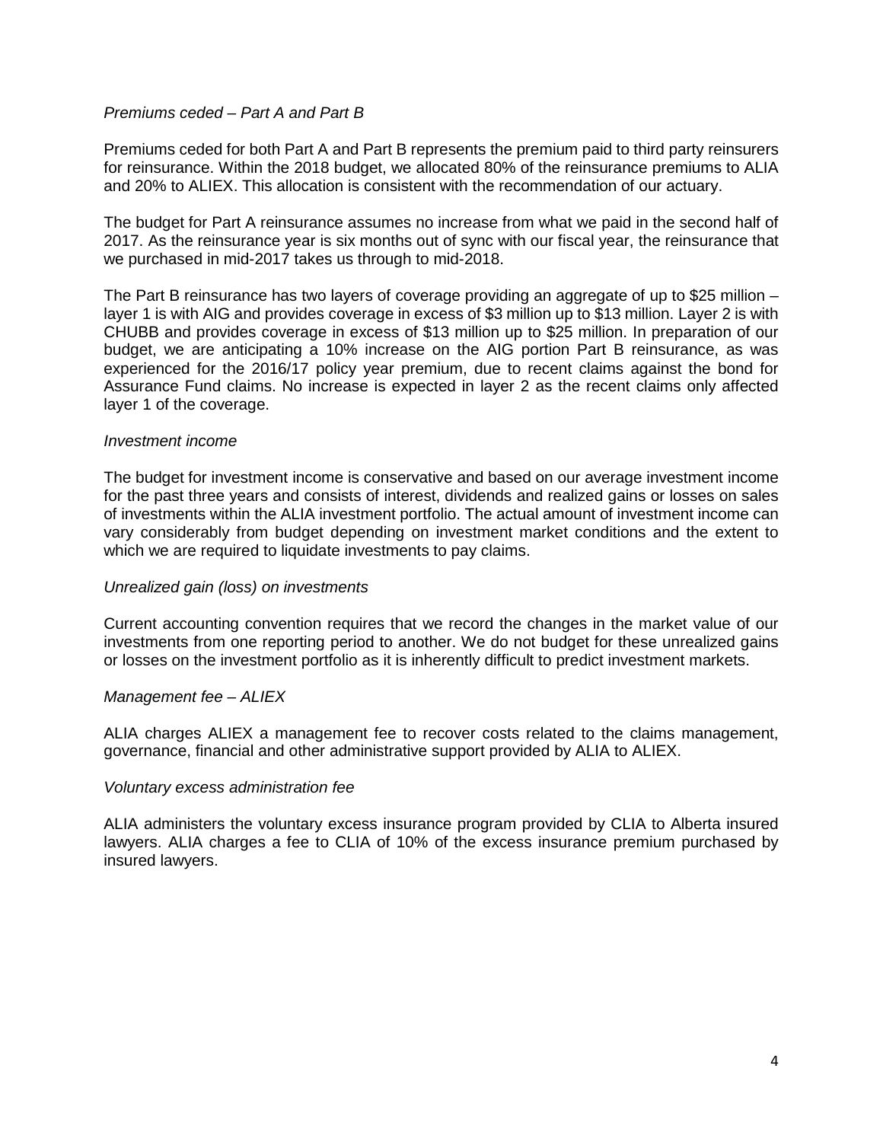## *Premiums ceded – Part A and Part B*

Premiums ceded for both Part A and Part B represents the premium paid to third party reinsurers for reinsurance. Within the 2018 budget, we allocated 80% of the reinsurance premiums to ALIA and 20% to ALIEX. This allocation is consistent with the recommendation of our actuary.

The budget for Part A reinsurance assumes no increase from what we paid in the second half of 2017. As the reinsurance year is six months out of sync with our fiscal year, the reinsurance that we purchased in mid-2017 takes us through to mid-2018.

The Part B reinsurance has two layers of coverage providing an aggregate of up to \$25 million – layer 1 is with AIG and provides coverage in excess of \$3 million up to \$13 million. Layer 2 is with CHUBB and provides coverage in excess of \$13 million up to \$25 million. In preparation of our budget, we are anticipating a 10% increase on the AIG portion Part B reinsurance, as was experienced for the 2016/17 policy year premium, due to recent claims against the bond for Assurance Fund claims. No increase is expected in layer 2 as the recent claims only affected layer 1 of the coverage.

### *Investment income*

The budget for investment income is conservative and based on our average investment income for the past three years and consists of interest, dividends and realized gains or losses on sales of investments within the ALIA investment portfolio. The actual amount of investment income can vary considerably from budget depending on investment market conditions and the extent to which we are required to liquidate investments to pay claims.

### *Unrealized gain (loss) on investments*

Current accounting convention requires that we record the changes in the market value of our investments from one reporting period to another. We do not budget for these unrealized gains or losses on the investment portfolio as it is inherently difficult to predict investment markets.

### *Management fee – ALIEX*

ALIA charges ALIEX a management fee to recover costs related to the claims management, governance, financial and other administrative support provided by ALIA to ALIEX.

### *Voluntary excess administration fee*

ALIA administers the voluntary excess insurance program provided by CLIA to Alberta insured lawyers. ALIA charges a fee to CLIA of 10% of the excess insurance premium purchased by insured lawyers.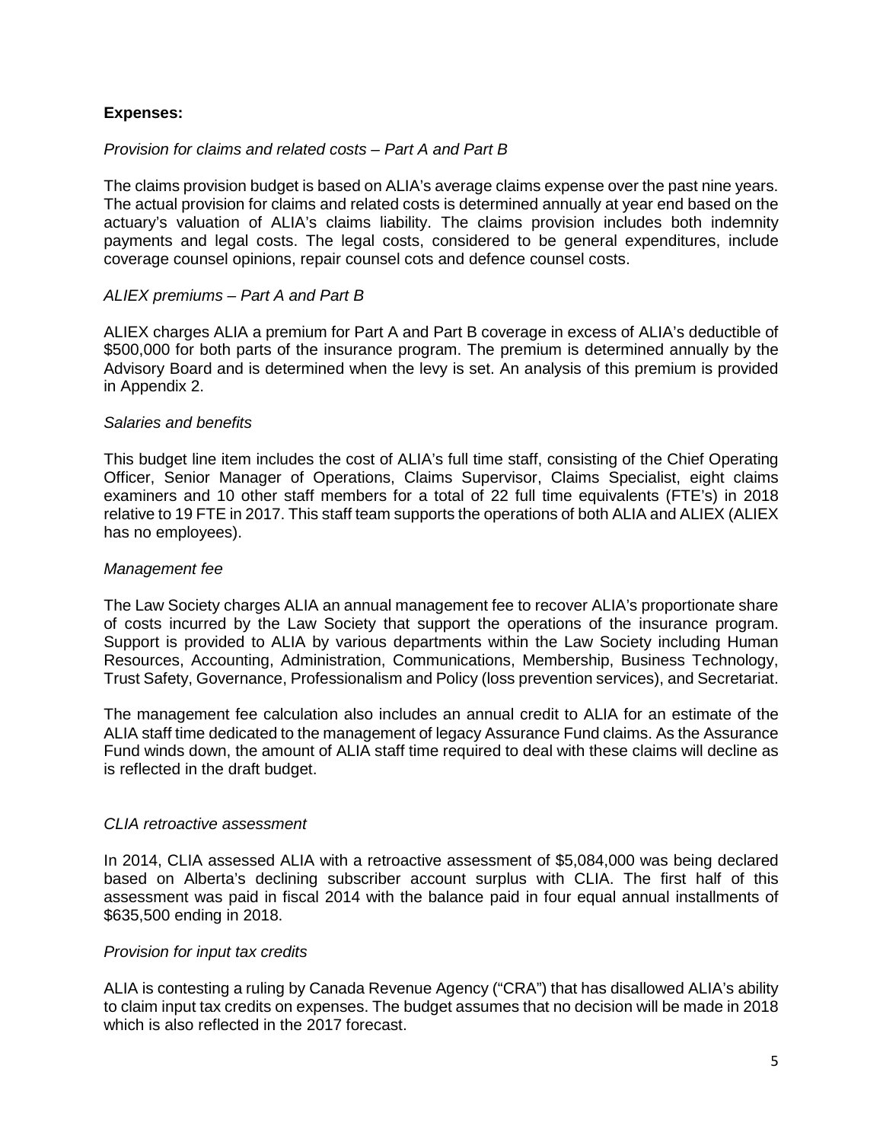## **Expenses:**

## *Provision for claims and related costs – Part A and Part B*

The claims provision budget is based on ALIA's average claims expense over the past nine years. The actual provision for claims and related costs is determined annually at year end based on the actuary's valuation of ALIA's claims liability. The claims provision includes both indemnity payments and legal costs. The legal costs, considered to be general expenditures, include coverage counsel opinions, repair counsel cots and defence counsel costs.

## *ALIEX premiums – Part A and Part B*

ALIEX charges ALIA a premium for Part A and Part B coverage in excess of ALIA's deductible of \$500,000 for both parts of the insurance program. The premium is determined annually by the Advisory Board and is determined when the levy is set. An analysis of this premium is provided in Appendix 2.

## *Salaries and benefits*

This budget line item includes the cost of ALIA's full time staff, consisting of the Chief Operating Officer, Senior Manager of Operations, Claims Supervisor, Claims Specialist, eight claims examiners and 10 other staff members for a total of 22 full time equivalents (FTE's) in 2018 relative to 19 FTE in 2017. This staff team supports the operations of both ALIA and ALIEX (ALIEX has no employees).

## *Management fee*

The Law Society charges ALIA an annual management fee to recover ALIA's proportionate share of costs incurred by the Law Society that support the operations of the insurance program. Support is provided to ALIA by various departments within the Law Society including Human Resources, Accounting, Administration, Communications, Membership, Business Technology, Trust Safety, Governance, Professionalism and Policy (loss prevention services), and Secretariat.

The management fee calculation also includes an annual credit to ALIA for an estimate of the ALIA staff time dedicated to the management of legacy Assurance Fund claims. As the Assurance Fund winds down, the amount of ALIA staff time required to deal with these claims will decline as is reflected in the draft budget.

## *CLIA retroactive assessment*

In 2014, CLIA assessed ALIA with a retroactive assessment of \$5,084,000 was being declared based on Alberta's declining subscriber account surplus with CLIA. The first half of this assessment was paid in fiscal 2014 with the balance paid in four equal annual installments of \$635,500 ending in 2018.

### *Provision for input tax credits*

ALIA is contesting a ruling by Canada Revenue Agency ("CRA") that has disallowed ALIA's ability to claim input tax credits on expenses. The budget assumes that no decision will be made in 2018 which is also reflected in the 2017 forecast.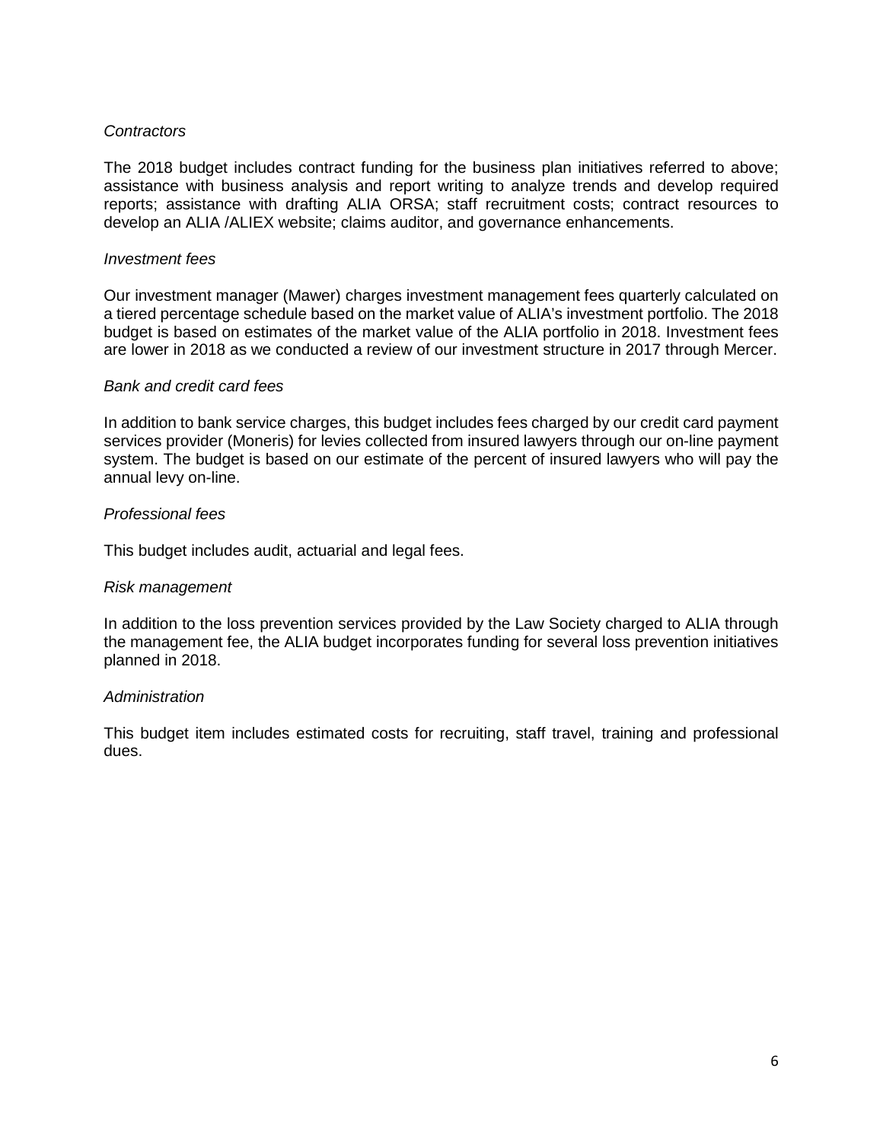## *Contractors*

The 2018 budget includes contract funding for the business plan initiatives referred to above; assistance with business analysis and report writing to analyze trends and develop required reports; assistance with drafting ALIA ORSA; staff recruitment costs; contract resources to develop an ALIA /ALIEX website; claims auditor, and governance enhancements.

### *Investment fees*

Our investment manager (Mawer) charges investment management fees quarterly calculated on a tiered percentage schedule based on the market value of ALIA's investment portfolio. The 2018 budget is based on estimates of the market value of the ALIA portfolio in 2018. Investment fees are lower in 2018 as we conducted a review of our investment structure in 2017 through Mercer.

### *Bank and credit card fees*

In addition to bank service charges, this budget includes fees charged by our credit card payment services provider (Moneris) for levies collected from insured lawyers through our on-line payment system. The budget is based on our estimate of the percent of insured lawyers who will pay the annual levy on-line.

## *Professional fees*

This budget includes audit, actuarial and legal fees.

### *Risk management*

In addition to the loss prevention services provided by the Law Society charged to ALIA through the management fee, the ALIA budget incorporates funding for several loss prevention initiatives planned in 2018.

### *Administration*

This budget item includes estimated costs for recruiting, staff travel, training and professional dues.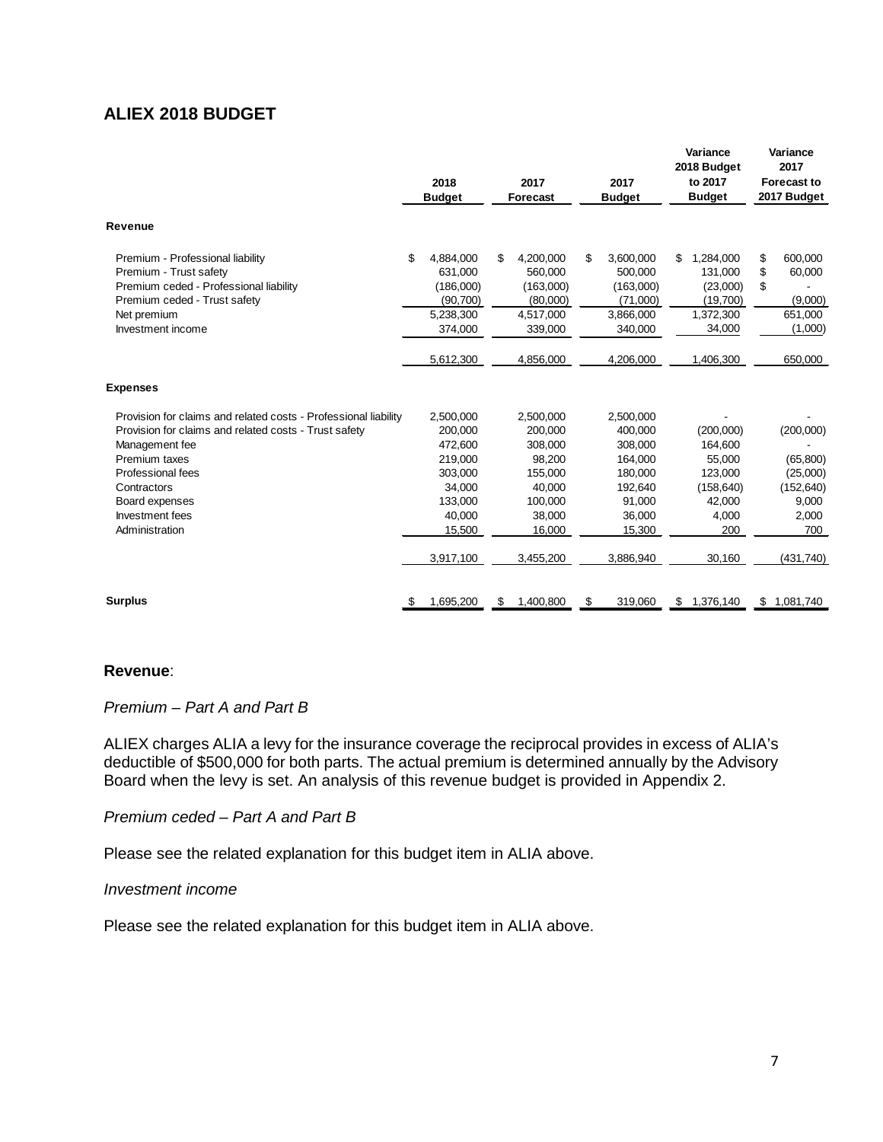## <span id="page-8-0"></span>**ALIEX 2018 BUDGET**

|                                                                 | 2018<br><b>Budget</b> |           | 2017<br><b>Forecast</b> |           |    | 2017<br><b>Budget</b> |    | Variance<br>2018 Budget<br>to 2017<br><b>Budget</b> |    | Variance<br>2017<br><b>Forecast to</b><br>2017 Budget |
|-----------------------------------------------------------------|-----------------------|-----------|-------------------------|-----------|----|-----------------------|----|-----------------------------------------------------|----|-------------------------------------------------------|
| Revenue                                                         |                       |           |                         |           |    |                       |    |                                                     |    |                                                       |
| Premium - Professional liability                                | \$                    | 4,884,000 | \$                      | 4,200,000 | \$ | 3,600,000             | \$ | 1,284,000                                           | \$ | 600,000                                               |
| Premium - Trust safety                                          |                       | 631,000   |                         | 560,000   |    | 500,000               |    | 131,000                                             | \$ | 60,000                                                |
| Premium ceded - Professional liability                          |                       | (186,000) |                         | (163,000) |    | (163,000)             |    | (23,000)                                            | \$ |                                                       |
| Premium ceded - Trust safety                                    |                       | (90, 700) |                         | (80,000)  |    | (71,000)              |    | (19,700)                                            |    | (9,000)                                               |
| Net premium                                                     |                       | 5,238,300 |                         | 4,517,000 |    | 3,866,000             |    | 1,372,300                                           |    | 651,000                                               |
| Investment income                                               |                       | 374,000   |                         | 339,000   |    | 340,000               |    | 34,000                                              |    | (1,000)                                               |
|                                                                 |                       | 5,612,300 |                         | 4,856,000 |    | 4,206,000             |    | 1,406,300                                           |    | 650,000                                               |
| <b>Expenses</b>                                                 |                       |           |                         |           |    |                       |    |                                                     |    |                                                       |
| Provision for claims and related costs - Professional liability |                       | 2,500,000 |                         | 2,500,000 |    | 2,500,000             |    |                                                     |    |                                                       |
| Provision for claims and related costs - Trust safety           |                       | 200,000   |                         | 200,000   |    | 400,000               |    | (200,000)                                           |    | (200,000)                                             |
| Management fee                                                  |                       | 472,600   |                         | 308,000   |    | 308,000               |    | 164,600                                             |    |                                                       |
| Premium taxes                                                   |                       | 219,000   |                         | 98,200    |    | 164,000               |    | 55,000                                              |    | (65, 800)                                             |
| Professional fees                                               |                       | 303,000   |                         | 155,000   |    | 180,000               |    | 123,000                                             |    | (25,000)                                              |
| Contractors                                                     |                       | 34,000    |                         | 40,000    |    | 192,640               |    | (158, 640)                                          |    | (152, 640)                                            |
| Board expenses                                                  |                       | 133,000   |                         | 100.000   |    | 91,000                |    | 42.000                                              |    | 9,000                                                 |
| Investment fees                                                 |                       | 40.000    |                         | 38,000    |    | 36,000                |    | 4,000                                               |    | 2,000                                                 |
| Administration                                                  |                       | 15,500    |                         | 16,000    |    | 15,300                |    | 200                                                 |    | 700                                                   |
|                                                                 |                       | 3,917,100 |                         | 3,455,200 |    | 3,886,940             |    | 30,160                                              |    | (431, 740)                                            |
| <b>Surplus</b>                                                  | \$                    | 1,695,200 | \$                      | 1,400,800 | \$ | 319,060               | \$ | 1,376,140                                           |    | \$1,081,740                                           |

### **Revenue**:

## *Premium – Part A and Part B*

ALIEX charges ALIA a levy for the insurance coverage the reciprocal provides in excess of ALIA's deductible of \$500,000 for both parts. The actual premium is determined annually by the Advisory Board when the levy is set. An analysis of this revenue budget is provided in Appendix 2.

## *Premium ceded – Part A and Part B*

Please see the related explanation for this budget item in ALIA above.

## *Investment income*

Please see the related explanation for this budget item in ALIA above.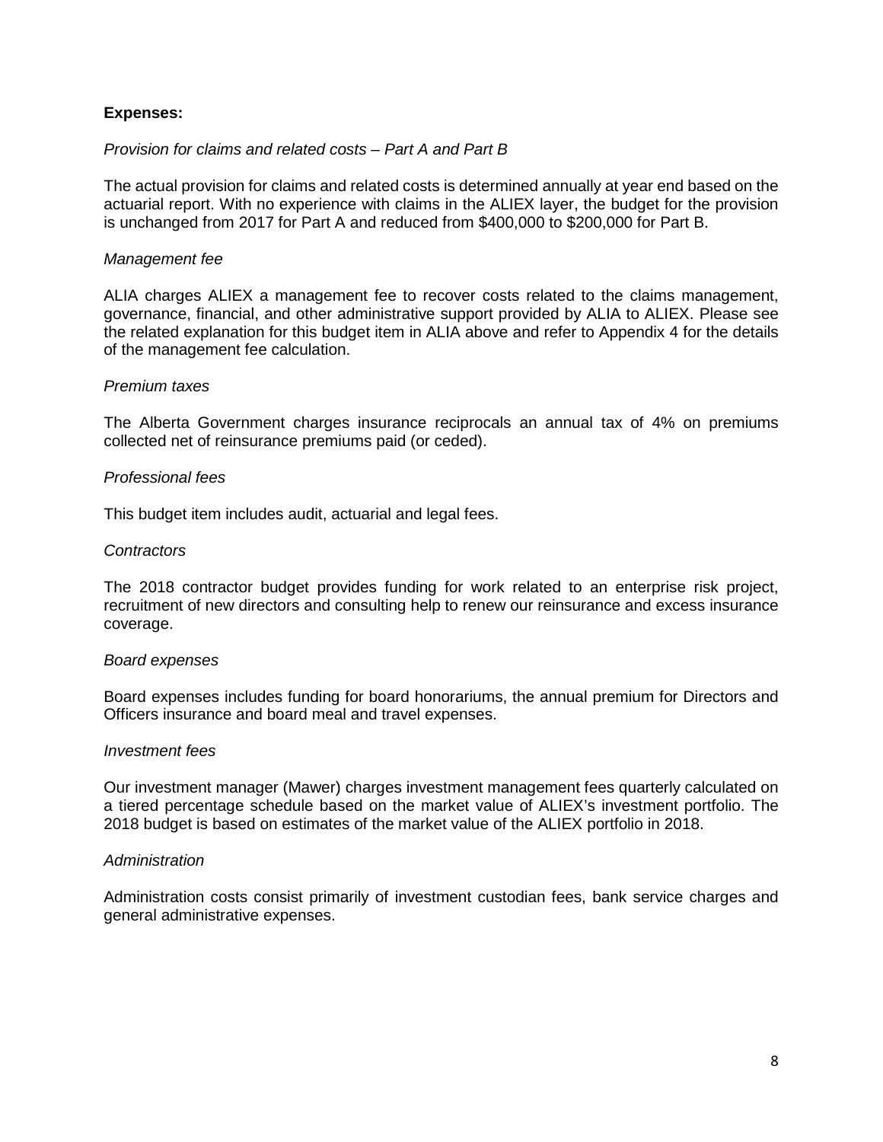## **Expenses:**

## *Provision for claims and related costs – Part A and Part B*

The actual provision for claims and related costs is determined annually at year end based on the actuarial report. With no experience with claims in the ALIEX layer, the budget for the provision is unchanged from 2017 for Part A and reduced from \$400,000 to \$200,000 for Part B.

## *Management fee*

ALIA charges ALIEX a management fee to recover costs related to the claims management, governance, financial, and other administrative support provided by ALIA to ALIEX. Please see the related explanation for this budget item in ALIA above and refer to Appendix 4 for the details of the management fee calculation.

### *Premium taxes*

The Alberta Government charges insurance reciprocals an annual tax of 4% on premiums collected net of reinsurance premiums paid (or ceded).

### *Professional fees*

This budget item includes audit, actuarial and legal fees.

### *Contractors*

The 2018 contractor budget provides funding for work related to an enterprise risk project, recruitment of new directors and consulting help to renew our reinsurance and excess insurance coverage.

### *Board expenses*

Board expenses includes funding for board honorariums, the annual premium for Directors and Officers insurance and board meal and travel expenses.

### *Investment fees*

Our investment manager (Mawer) charges investment management fees quarterly calculated on a tiered percentage schedule based on the market value of ALIEX's investment portfolio. The 2018 budget is based on estimates of the market value of the ALIEX portfolio in 2018.

### *Administration*

Administration costs consist primarily of investment custodian fees, bank service charges and general administrative expenses.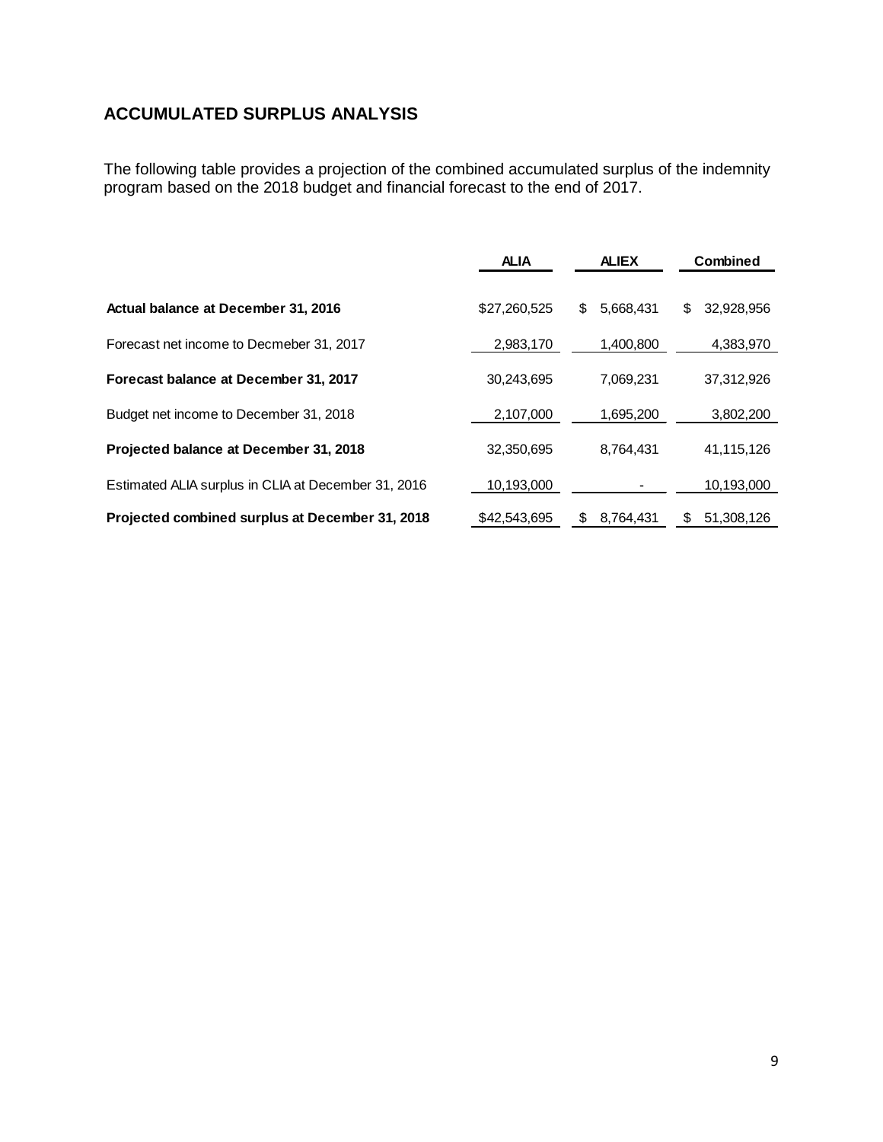# <span id="page-10-0"></span>**ACCUMULATED SURPLUS ANALYSIS**

The following table provides a projection of the combined accumulated surplus of the indemnity program based on the 2018 budget and financial forecast to the end of 2017.

|                                                     | <b>ALIA</b>  | <b>ALIEX</b>    | <b>Combined</b>  |
|-----------------------------------------------------|--------------|-----------------|------------------|
| Actual balance at December 31, 2016                 | \$27,260,525 | 5,668,431<br>\$ | 32,928,956<br>\$ |
| Forecast net income to Decmeber 31, 2017            | 2,983,170    | 1,400,800       | 4,383,970        |
| Forecast balance at December 31, 2017               | 30,243,695   | 7,069,231       | 37,312,926       |
| Budget net income to December 31, 2018              | 2,107,000    | 1,695,200       | 3,802,200        |
| Projected balance at December 31, 2018              | 32,350,695   | 8,764,431       | 41,115,126       |
| Estimated ALIA surplus in CLIA at December 31, 2016 | 10,193,000   |                 | 10,193,000       |
| Projected combined surplus at December 31, 2018     | \$42,543,695 | 8.764.431<br>S  | 51.308.126<br>S  |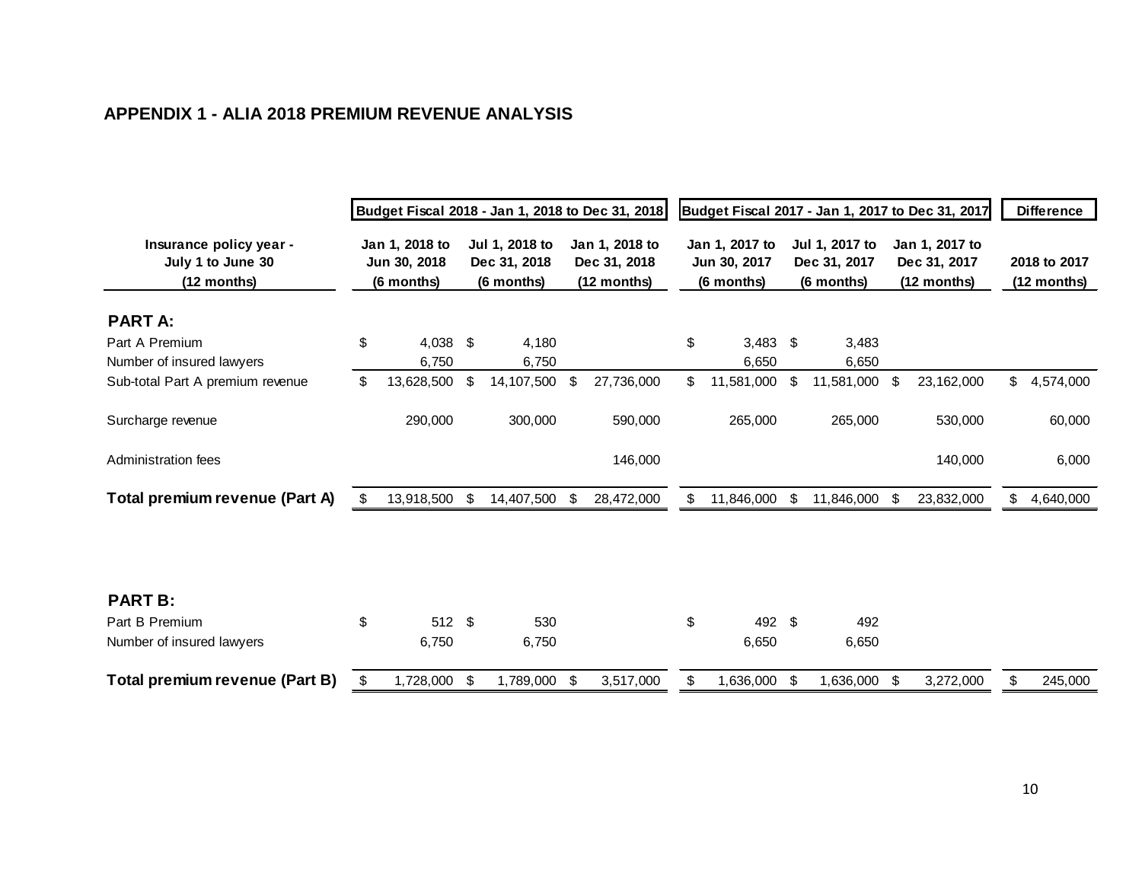# **APPENDIX 1 - ALIA 2018 PREMIUM REVENUE ANALYSIS**

<span id="page-11-0"></span>

|                                                             | Budget Fiscal 2018 - Jan 1, 2018 to Dec 31, 2018 |                     |                                              |                |                                               | Budget Fiscal 2017 - Jan 1, 2017 to Dec 31, 2017 |                                              |                     |                                              |                |                                               |            | <b>Difference</b>             |           |
|-------------------------------------------------------------|--------------------------------------------------|---------------------|----------------------------------------------|----------------|-----------------------------------------------|--------------------------------------------------|----------------------------------------------|---------------------|----------------------------------------------|----------------|-----------------------------------------------|------------|-------------------------------|-----------|
| Insurance policy year -<br>July 1 to June 30<br>(12 months) | Jan 1, 2018 to<br>Jun 30, 2018<br>(6 months)     |                     | Jul 1, 2018 to<br>Dec 31, 2018<br>(6 months) |                | Jan 1, 2018 to<br>Dec 31, 2018<br>(12 months) |                                                  | Jan 1, 2017 to<br>Jun 30, 2017<br>(6 months) |                     | Jul 1, 2017 to<br>Dec 31, 2017<br>(6 months) |                | Jan 1, 2017 to<br>Dec 31, 2017<br>(12 months) |            | 2018 to 2017<br>$(12$ months) |           |
| <b>PART A:</b>                                              |                                                  |                     |                                              |                |                                               |                                                  |                                              |                     |                                              |                |                                               |            |                               |           |
| Part A Premium<br>Number of insured lawyers                 | \$                                               | $4,038$ \$<br>6,750 |                                              | 4,180<br>6,750 |                                               |                                                  | \$                                           | $3,483$ \$<br>6,650 |                                              | 3,483<br>6,650 |                                               |            |                               |           |
| Sub-total Part A premium revenue                            | \$                                               | 13,628,500          | -\$                                          | 14,107,500     | \$                                            | 27,736,000                                       | \$                                           | 11,581,000          | \$                                           | 11,581,000 \$  |                                               | 23,162,000 | \$                            | 4,574,000 |
| Surcharge revenue                                           |                                                  | 290,000             |                                              | 300,000        |                                               | 590,000                                          |                                              | 265,000             |                                              | 265,000        |                                               | 530,000    |                               | 60,000    |
| Administration fees                                         |                                                  |                     |                                              |                |                                               | 146,000                                          |                                              |                     |                                              |                |                                               | 140,000    |                               | 6,000     |
| Total premium revenue (Part A)                              | \$                                               | 13,918,500          | -\$                                          | 14,407,500     | \$                                            | 28,472,000                                       | \$                                           | 11,846,000          | \$                                           | 11,846,000     | -\$                                           | 23,832,000 | \$                            | 4,640,000 |
|                                                             |                                                  |                     |                                              |                |                                               |                                                  |                                              |                     |                                              |                |                                               |            |                               |           |
| <b>PART B:</b>                                              |                                                  |                     |                                              |                |                                               |                                                  |                                              |                     |                                              |                |                                               |            |                               |           |
| Part B Premium                                              | \$                                               | 512 \$              |                                              | 530            |                                               |                                                  | \$                                           | 492 \$              |                                              | 492            |                                               |            |                               |           |
| Number of insured lawyers                                   |                                                  | 6,750               |                                              | 6,750          |                                               |                                                  |                                              | 6,650               |                                              | 6,650          |                                               |            |                               |           |
| Total premium revenue (Part B)                              | \$                                               | 1,728,000           | -\$                                          | 1,789,000      | \$                                            | 3,517,000                                        | \$                                           | 1,636,000           | \$                                           | 1,636,000 \$   |                                               | 3,272,000  | \$                            | 245,000   |